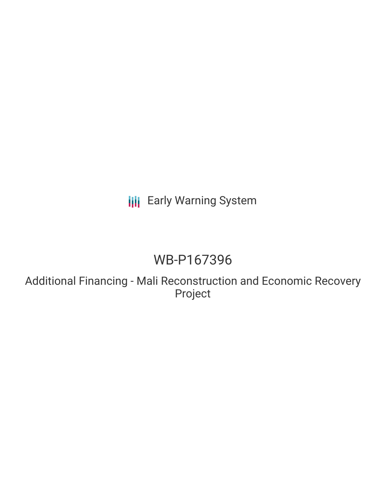## **III** Early Warning System

# WB-P167396

Additional Financing - Mali Reconstruction and Economic Recovery Project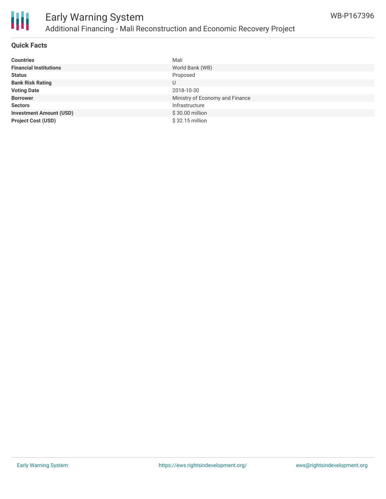

## Early Warning System Additional Financing - Mali Reconstruction and Economic Recovery Project

#### **Quick Facts**

| <b>Countries</b>               | Mali                            |
|--------------------------------|---------------------------------|
| <b>Financial Institutions</b>  | World Bank (WB)                 |
| <b>Status</b>                  | Proposed                        |
| <b>Bank Risk Rating</b>        | U                               |
| <b>Voting Date</b>             | 2018-10-30                      |
| <b>Borrower</b>                | Ministry of Economy and Finance |
| <b>Sectors</b>                 | Infrastructure                  |
| <b>Investment Amount (USD)</b> | \$30.00 million                 |
| <b>Project Cost (USD)</b>      | $$32.15$ million                |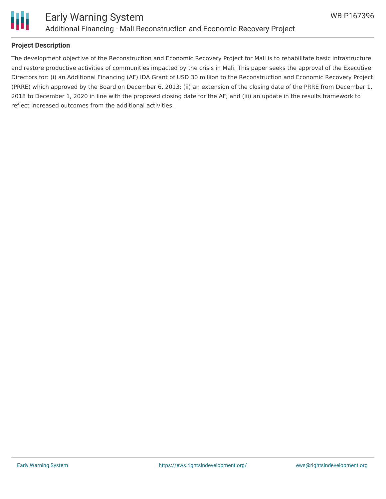

#### **Project Description**

The development objective of the Reconstruction and Economic Recovery Project for Mali is to rehabilitate basic infrastructure and restore productive activities of communities impacted by the crisis in Mali. This paper seeks the approval of the Executive Directors for: (i) an Additional Financing (AF) IDA Grant of USD 30 million to the Reconstruction and Economic Recovery Project (PRRE) which approved by the Board on December 6, 2013; (ii) an extension of the closing date of the PRRE from December 1, 2018 to December 1, 2020 in line with the proposed closing date for the AF; and (iii) an update in the results framework to reflect increased outcomes from the additional activities.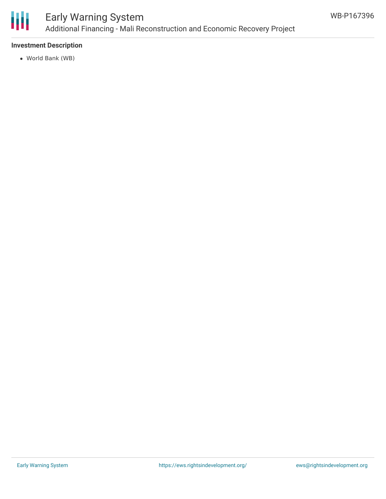

### Early Warning System Additional Financing - Mali Reconstruction and Economic Recovery Project

### **Investment Description**

World Bank (WB)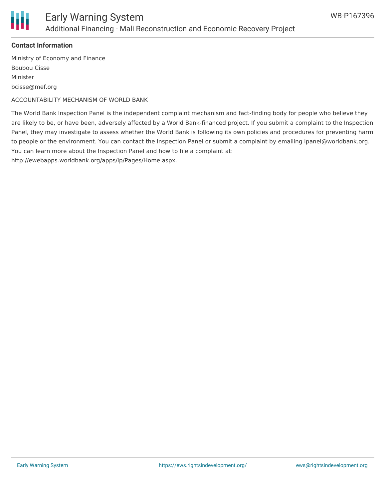

#### **Contact Information**

Ministry of Economy and Finance Boubou Cisse Minister bcisse@mef.org

ACCOUNTABILITY MECHANISM OF WORLD BANK

The World Bank Inspection Panel is the independent complaint mechanism and fact-finding body for people who believe they are likely to be, or have been, adversely affected by a World Bank-financed project. If you submit a complaint to the Inspection Panel, they may investigate to assess whether the World Bank is following its own policies and procedures for preventing harm to people or the environment. You can contact the Inspection Panel or submit a complaint by emailing ipanel@worldbank.org. You can learn more about the Inspection Panel and how to file a complaint at: http://ewebapps.worldbank.org/apps/ip/Pages/Home.aspx.